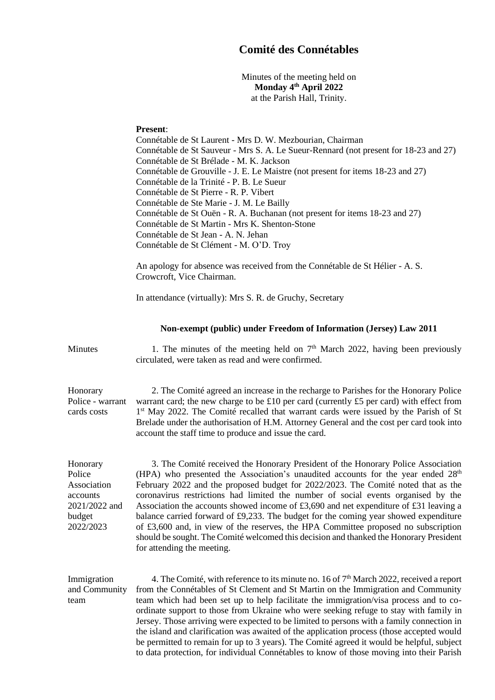## **Comité des Connétables**

Minutes of the meeting held on **Monday 4 th April 2022** at the Parish Hall, Trinity.

## **Present**:

Connétable de St Laurent - Mrs D. W. Mezbourian, Chairman Connétable de St Sauveur - Mrs S. A. Le Sueur-Rennard (not present for 18-23 and 27) Connétable de St Brélade - M. K. Jackson Connétable de Grouville - J. E. Le Maistre (not present for items 18-23 and 27) Connétable de la Trinité - P. B. Le Sueur Connétable de St Pierre - R. P. Vibert Connétable de Ste Marie - J. M. Le Bailly Connétable de St Ouën - R. A. Buchanan (not present for items 18-23 and 27) Connétable de St Martin - Mrs K. Shenton-Stone Connétable de St Jean - A. N. Jehan Connétable de St Clément - M. O'D. Troy

An apology for absence was received from the Connétable de St Hélier - A. S. Crowcroft, Vice Chairman.

In attendance (virtually): Mrs S. R. de Gruchy, Secretary

## **Non-exempt (public) under Freedom of Information (Jersey) Law 2011**

Minutes 1. The minutes of the meeting held on  $7<sup>th</sup>$  March 2022, having been previously circulated, were taken as read and were confirmed.

Honorary Police - warrant cards costs 2. The Comité agreed an increase in the recharge to Parishes for the Honorary Police warrant card; the new charge to be £10 per card (currently £5 per card) with effect from 1<sup>st</sup> May 2022. The Comité recalled that warrant cards were issued by the Parish of St Brelade under the authorisation of H.M. Attorney General and the cost per card took into account the staff time to produce and issue the card.

Honorary Police Association accounts 2021/2022 and budget 2022/2023

3. The Comité received the Honorary President of the Honorary Police Association (HPA) who presented the Association's unaudited accounts for the year ended  $28<sup>th</sup>$ February 2022 and the proposed budget for 2022/2023. The Comité noted that as the coronavirus restrictions had limited the number of social events organised by the Association the accounts showed income of £3,690 and net expenditure of £31 leaving a balance carried forward of £9,233. The budget for the coming year showed expenditure of £3,600 and, in view of the reserves, the HPA Committee proposed no subscription should be sought. The Comité welcomed this decision and thanked the Honorary President for attending the meeting.

Immigration and Community team 4. The Comité, with reference to its minute no. 16 of 7<sup>th</sup> March 2022, received a report from the Connétables of St Clement and St Martin on the Immigration and Community team which had been set up to help facilitate the immigration/visa process and to coordinate support to those from Ukraine who were seeking refuge to stay with family in Jersey. Those arriving were expected to be limited to persons with a family connection in the island and clarification was awaited of the application process (those accepted would be permitted to remain for up to 3 years). The Comité agreed it would be helpful, subject to data protection, for individual Connétables to know of those moving into their Parish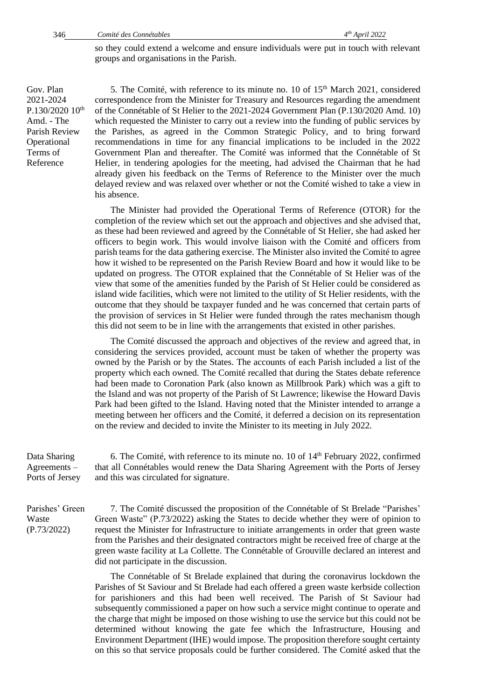so they could extend a welcome and ensure individuals were put in touch with relevant groups and organisations in the Parish.

Gov. Plan 2021-2024  $P.130/202010$ <sup>th</sup> Amd. - The Parish Review **Operational** Terms of Reference

5. The Comité, with reference to its minute no. 10 of  $15<sup>th</sup>$  March 2021, considered correspondence from the Minister for Treasury and Resources regarding the amendment of the Connétable of St Helier to the 2021-2024 Government Plan (P.130/2020 Amd. 10) which requested the Minister to carry out a review into the funding of public services by the Parishes, as agreed in the Common Strategic Policy, and to bring forward recommendations in time for any financial implications to be included in the 2022 Government Plan and thereafter. The Comité was informed that the Connétable of St Helier, in tendering apologies for the meeting, had advised the Chairman that he had already given his feedback on the Terms of Reference to the Minister over the much delayed review and was relaxed over whether or not the Comité wished to take a view in his absence.

The Minister had provided the Operational Terms of Reference (OTOR) for the completion of the review which set out the approach and objectives and she advised that, as these had been reviewed and agreed by the Connétable of St Helier, she had asked her officers to begin work. This would involve liaison with the Comité and officers from parish teams for the data gathering exercise. The Minister also invited the Comité to agree how it wished to be represented on the Parish Review Board and how it would like to be updated on progress. The OTOR explained that the Connétable of St Helier was of the view that some of the amenities funded by the Parish of St Helier could be considered as island wide facilities, which were not limited to the utility of St Helier residents, with the outcome that they should be taxpayer funded and he was concerned that certain parts of the provision of services in St Helier were funded through the rates mechanism though this did not seem to be in line with the arrangements that existed in other parishes.

The Comité discussed the approach and objectives of the review and agreed that, in considering the services provided, account must be taken of whether the property was owned by the Parish or by the States. The accounts of each Parish included a list of the property which each owned. The Comité recalled that during the States debate reference had been made to Coronation Park (also known as Millbrook Park) which was a gift to the Island and was not property of the Parish of St Lawrence; likewise the Howard Davis Park had been gifted to the Island. Having noted that the Minister intended to arrange a meeting between her officers and the Comité, it deferred a decision on its representation on the review and decided to invite the Minister to its meeting in July 2022.

Data Sharing Agreements – Ports of Jersey 6. The Comité, with reference to its minute no. 10 of 14th February 2022, confirmed that all Connétables would renew the Data Sharing Agreement with the Ports of Jersey and this was circulated for signature.

Parishes' Green Waste (P.73/2022)

7. The Comité discussed the proposition of the Connétable of St Brelade "Parishes' Green Waste" ([P.73/2022\)](https://statesassembly.gov.je/assemblypropositions/2022/p.73-2022.pdf) asking the States to decide whether they were of opinion to request the Minister for Infrastructure to initiate arrangements in order that green waste from the Parishes and their designated contractors might be received free of charge at the green waste facility at La Collette. The Connétable of Grouville declared an interest and did not participate in the discussion.

The Connétable of St Brelade explained that during the coronavirus lockdown the Parishes of St Saviour and St Brelade had each offered a green waste kerbside collection for parishioners and this had been well received. The Parish of St Saviour had subsequently commissioned a paper on how such a service might continue to operate and the charge that might be imposed on those wishing to use the service but this could not be determined without knowing the gate fee which the Infrastructure, Housing and Environment Department (IHE) would impose. The proposition therefore sought certainty on this so that service proposals could be further considered. The Comité asked that the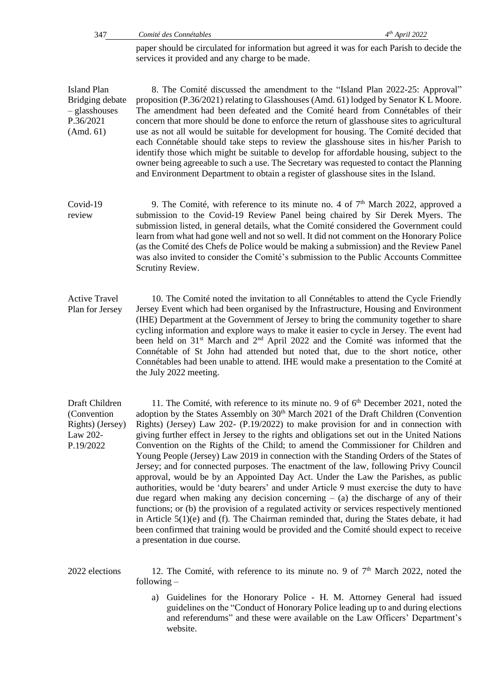paper should be circulated for information but agreed it was for each Parish to decide the services it provided and any charge to be made.

Island Plan Bridging debate – glasshouses P.36/2021 (Amd. 61)

8. The Comité discussed the amendment to the "Island Plan 2022-25: Approval" proposition (P.36/2021) relating to Glasshouses (Amd. 61) lodged by Senator K L Moore. The amendment had been defeated and the Comité heard from Connétables of their concern that more should be done to enforce the return of glasshouse sites to agricultural use as not all would be suitable for development for housing. The Comité decided that each Connétable should take steps to review the glasshouse sites in his/her Parish to identify those which might be suitable to develop for affordable housing, subject to the owner being agreeable to such a use. The Secretary was requested to contact the Planning and Environment Department to obtain a register of glasshouse sites in the Island.

- Covid-19 review 9. The Comité, with reference to its minute no. 4 of  $7<sup>th</sup>$  March 2022, approved a submission to the Covid-19 Review Panel being chaired by Sir Derek Myers. The submission listed, in general details, what the Comité considered the Government could learn from what had gone well and not so well. It did not comment on the Honorary Police (as the Comité des Chefs de Police would be making a submission) and the Review Panel was also invited to consider the Comité's submission to the Public Accounts Committee Scrutiny Review.
- Active Travel Plan for Jersey 10. The Comité noted the invitation to all Connétables to attend the Cycle Friendly Jersey Event which had been organised by the Infrastructure, Housing and Environment (IHE) Department at the Government of Jersey to bring the community together to share cycling information and explore ways to make it easier to cycle in Jersey. The event had been held on 31<sup>st</sup> March and 2<sup>nd</sup> April 2022 and the Comité was informed that the Connétable of St John had attended but noted that, due to the short notice, other Connétables had been unable to attend. IHE would make a presentation to the Comité at the July 2022 meeting.

Draft Children (Convention Rights) (Jersey) Law 202- P.19/2022 11. The Comité, with reference to its minute no. 9 of  $6<sup>th</sup>$  December 2021, noted the adoption by the States Assembly on 30<sup>th</sup> March 2021 of the Draft Children (Convention Rights) (Jersey) Law 202- (P.19/2022) to make provision for and in connection with giving further effect in Jersey to the rights and obligations set out in the United Nations Convention on the Rights of the Child; to amend the Commissioner for Children and Young People (Jersey) Law 2019 in connection with the Standing Orders of the States of Jersey; and for connected purposes. The enactment of the law, following Privy Council approval, would be by an Appointed Day Act. Under the Law the Parishes, as public authorities, would be 'duty bearers' and under Article 9 must exercise the duty to have due regard when making any decision concerning  $-$  (a) the discharge of any of their functions; or (b) the provision of a regulated activity or services respectively mentioned in Article  $5(1)(e)$  and (f). The Chairman reminded that, during the States debate, it had been confirmed that training would be provided and the Comité should expect to receive a presentation in due course.

2022 elections 12. The Comité, with reference to its minute no. 9 of  $7<sup>th</sup>$  March 2022, noted the following –

> a) Guidelines for the Honorary Police - H. M. Attorney General had issued guidelines on the "Conduct of Honorary Police leading up to and during elections and referendums" and these were available on the Law Officers' Department's website.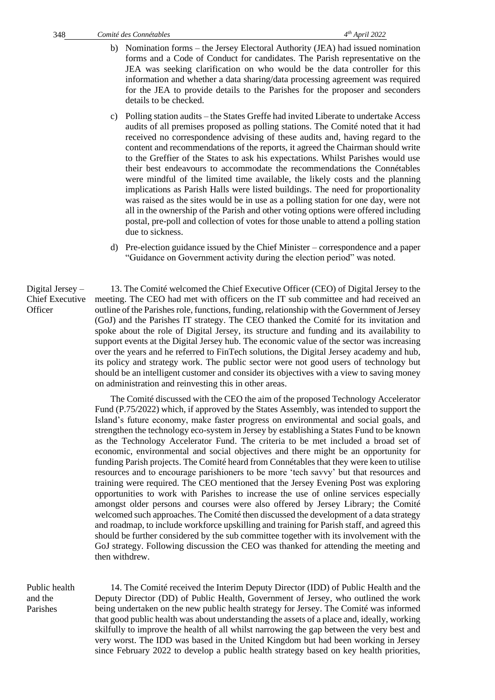- b) Nomination forms the Jersey Electoral Authority (JEA) had issued nomination forms and a Code of Conduct for candidates. The Parish representative on the JEA was seeking clarification on who would be the data controller for this information and whether a data sharing/data processing agreement was required for the JEA to provide details to the Parishes for the proposer and seconders details to be checked.
- c) Polling station audits the States Greffe had invited Liberate to undertake Access audits of all premises proposed as polling stations. The Comité noted that it had received no correspondence advising of these audits and, having regard to the content and recommendations of the reports, it agreed the Chairman should write to the Greffier of the States to ask his expectations. Whilst Parishes would use their best endeavours to accommodate the recommendations the Connétables were mindful of the limited time available, the likely costs and the planning implications as Parish Halls were listed buildings. The need for proportionality was raised as the sites would be in use as a polling station for one day, were not all in the ownership of the Parish and other voting options were offered including postal, pre-poll and collection of votes for those unable to attend a polling station due to sickness.
- d) Pre-election guidance issued by the Chief Minister correspondence and a paper "Guidance on Government activity during the election period" was noted.

Digital Jersey – Chief Executive 13. The Comité welcomed the Chief Executive Officer (CEO) of Digital Jersey to the meeting. The CEO had met with officers on the IT sub committee and had received an outline of the Parishes role, functions, funding, relationship with the Government of Jersey (GoJ) and the Parishes IT strategy. The CEO thanked the Comité for its invitation and spoke about the role of Digital Jersey, its structure and funding and its availability to support events at the Digital Jersey hub. The economic value of the sector was increasing over the years and he referred to FinTech solutions, the Digital Jersey academy and hub, its policy and strategy work. The public sector were not good users of technology but should be an intelligent customer and consider its objectives with a view to saving money on administration and reinvesting this in other areas.

> The Comité discussed with the CEO the aim of the proposed Technology Accelerator Fund (P.75/2022) [which, if approved by the States Assembly, was intended to](https://statesassembly.gov.je/assemblypropositions/2022/p.75-2022.pdf) support the [Island's future economy, make faster progress on environmental and social goals, and](https://statesassembly.gov.je/assemblypropositions/2022/p.75-2022.pdf)  [strengthen the technology eco-system in Jersey by establishing a States Fund to be known](https://statesassembly.gov.je/assemblypropositions/2022/p.75-2022.pdf)  [as the Technology Accelerator Fund. The criteria to be met included a broad set of](https://statesassembly.gov.je/assemblypropositions/2022/p.75-2022.pdf)  [economic, environmental](https://statesassembly.gov.je/assemblypropositions/2022/p.75-2022.pdf) and social objectives and there might be an opportunity for funding Parish projects. The Comité heard from Connétables that they were keen to utilise resources and to encourage parishioners to be more 'tech savvy' but that resources and training were required. The CEO mentioned that the Jersey Evening Post was exploring opportunities to work with Parishes to increase the use of online services especially amongst older persons and courses were also offered by Jersey Library; the Comité welcomed such approaches. The Comité then discussed the development of a data strategy and roadmap, to include workforce upskilling and training for Parish staff, and agreed this should be further considered by the sub committee together with its involvement with the GoJ strategy. Following discussion the CEO was thanked for attending the meeting and then withdrew.

Public health and the Parishes

**Officer** 

14. The Comité received the Interim Deputy Director (IDD) of Public Health and the Deputy Director (DD) of Public Health, Government of Jersey, who outlined the work being undertaken on the new public health strategy for Jersey. The Comité was informed that good public health was about understanding the assets of a place and, ideally, working skilfully to improve the health of all whilst narrowing the gap between the very best and very worst. The IDD was based in the United Kingdom but had been working in Jersey since February 2022 to develop a public health strategy based on key health priorities,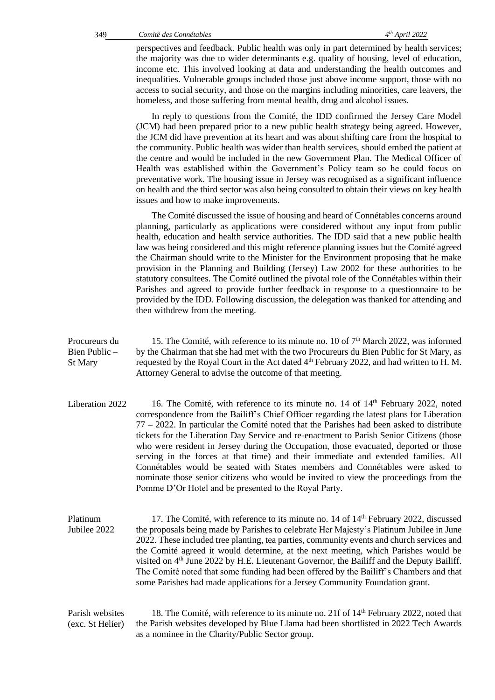perspectives and feedback. Public health was only in part determined by health services; the majority was due to wider determinants e.g. quality of housing, level of education, income etc. This involved looking at data and understanding the health outcomes and inequalities. Vulnerable groups included those just above income support, those with no access to social security, and those on the margins including minorities, care leavers, the homeless, and those suffering from mental health, drug and alcohol issues.

In reply to questions from the Comité, the IDD confirmed the Jersey Care Model (JCM) had been prepared prior to a new public health strategy being agreed. However, the JCM did have prevention at its heart and was about shifting care from the hospital to the community. Public health was wider than health services, should embed the patient at the centre and would be included in the new Government Plan. The Medical Officer of Health was established within the Government's Policy team so he could focus on preventative work. The housing issue in Jersey was recognised as a significant influence on health and the third sector was also being consulted to obtain their views on key health issues and how to make improvements.

The Comité discussed the issue of housing and heard of Connétables concerns around planning, particularly as applications were considered without any input from public health, education and health service authorities. The IDD said that a new public health law was being considered and this might reference planning issues but the Comité agreed the Chairman should write to the Minister for the Environment proposing that he make provision in the Planning and Building (Jersey) Law 2002 for these authorities to be statutory consultees. The Comité outlined the pivotal role of the Connétables within their Parishes and agreed to provide further feedback in response to a questionnaire to be provided by the IDD. Following discussion, the delegation was thanked for attending and then withdrew from the meeting.

- Procureurs du Bien Public – St Mary 15. The Comité, with reference to its minute no. 10 of  $7<sup>th</sup>$  March 2022, was informed by the Chairman that she had met with the two Procureurs du Bien Public for St Mary, as requested by the Royal Court in the Act dated 4<sup>th</sup> February 2022, and had written to H. M. Attorney General to advise the outcome of that meeting.
- Liberation 2022 16. The Comité, with reference to its minute no. 14 of 14<sup>th</sup> February 2022, noted correspondence from the Bailiff's Chief Officer regarding the latest plans for Liberation 77 – 2022. In particular the Comité noted that the Parishes had been asked to distribute tickets for the Liberation Day Service and re-enactment to Parish Senior Citizens (those who were resident in Jersey during the Occupation, those evacuated, deported or those serving in the forces at that time) and their immediate and extended families. All Connétables would be seated with States members and Connétables were asked to nominate those senior citizens who would be invited to view the proceedings from the Pomme D'Or Hotel and be presented to the Royal Party.

Platinum Jubilee 2022 17. The Comité, with reference to its minute no.  $14$  of  $14<sup>th</sup>$  February 2022, discussed the proposals being made by Parishes to celebrate Her Majesty's Platinum Jubilee in June 2022. These included tree planting, tea parties, community events and church services and the Comité agreed it would determine, at the next meeting, which Parishes would be visited on  $4<sup>th</sup>$  June 2022 by H.E. Lieutenant Governor, the Bailiff and the Deputy Bailiff. The Comité noted that some funding had been offered by the Bailiff's Chambers and that some Parishes had made applications for a Jersey Community Foundation grant.

Parish websites (exc. St Helier) 18. The Comité, with reference to its minute no. 21f of  $14<sup>th</sup>$  February 2022, noted that the Parish websites developed by Blue Llama had been shortlisted in 2022 Tech Awards as a nominee in the Charity/Public Sector group.